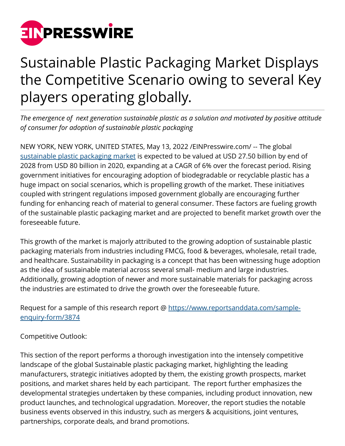

## Sustainable Plastic Packaging Market Displays the Competitive Scenario owing to several Key players operating globally.

*The emergence of next generation sustainable plastic as a solution and motivated by positive attitude of consumer for adoption of sustainable plastic packaging*

NEW YORK, NEW YORK, UNITED STATES, May 13, 2022 /[EINPresswire.com/](http://www.einpresswire.com) -- The global [sustainable plastic packaging market](https://www.reportsanddata.com/report-detail/sustainable-plastic-packaging-market) is expected to be valued at USD 27.50 billion by end of 2028 from USD 80 billion in 2020, expanding at a CAGR of 6% over the forecast period. Rising government initiatives for encouraging adoption of biodegradable or recyclable plastic has a huge impact on social scenarios, which is propelling growth of the market. These initiatives coupled with stringent regulations imposed government globally are encouraging further funding for enhancing reach of material to general consumer. These factors are fueling growth of the sustainable plastic packaging market and are projected to benefit market growth over the foreseeable future.

This growth of the market is majorly attributed to the growing adoption of sustainable plastic packaging materials from industries including FMCG, food & beverages, wholesale, retail trade, and healthcare. Sustainability in packaging is a concept that has been witnessing huge adoption as the idea of sustainable material across several small- medium and large industries. Additionally, growing adoption of newer and more sustainable materials for packaging across the industries are estimated to drive the growth over the foreseeable future.

Request for a sample of this research report @ [https://www.reportsanddata.com/sample](https://www.reportsanddata.com/sample-enquiry-form/3874)[enquiry-form/3874](https://www.reportsanddata.com/sample-enquiry-form/3874)

Competitive Outlook:

This section of the report performs a thorough investigation into the intensely competitive landscape of the global Sustainable plastic packaging market, highlighting the leading manufacturers, strategic initiatives adopted by them, the existing growth prospects, market positions, and market shares held by each participant. The report further emphasizes the developmental strategies undertaken by these companies, including product innovation, new product launches, and technological upgradation. Moreover, the report studies the notable business events observed in this industry, such as mergers & acquisitions, joint ventures, partnerships, corporate deals, and brand promotions.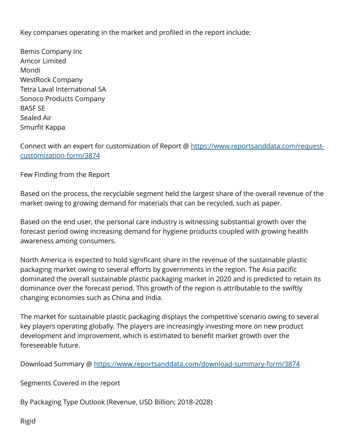Key companies operating in the market and profiled in the report include:

Bemis Company Inc Amcor Limited Mondi WestRock Company Tetra Laval International SA Sonoco Products Company BASF SE Sealed Air Smurfit Kappa

Connect with an expert for customization of Report @ [https://www.reportsanddata.com/request](https://www.reportsanddata.com/request-customization-form/3874)[customization-form/3874](https://www.reportsanddata.com/request-customization-form/3874)

Few Finding from the Report

Based on the process, the recyclable segment held the largest share of the overall revenue of the market owing to growing demand for materials that can be recycled, such as paper.

Based on the end user, the personal care industry is witnessing substantial growth over the forecast period owing increasing demand for hygiene products coupled with growing health awareness among consumers.

North America is expected to hold significant share in the revenue of the sustainable plastic packaging market owing to several efforts by governments in the region. The Asia pacific dominated the overall sustainable plastic packaging market in 2020 and is predicted to retain its dominance over the forecast period. This growth of the region is attributable to the swiftly changing economies such as China and India.

The market for sustainable plastic packaging displays the competitive scenario owing to several key players operating globally. The players are increasingly investing more on new product development and improvement, which is estimated to benefit market growth over the foreseeable future.

Download Summary @ <https://www.reportsanddata.com/download-summary-form/3874>

Segments Covered in the report

By Packaging Type Outlook (Revenue, USD Billion; 2018-2028)

Rigid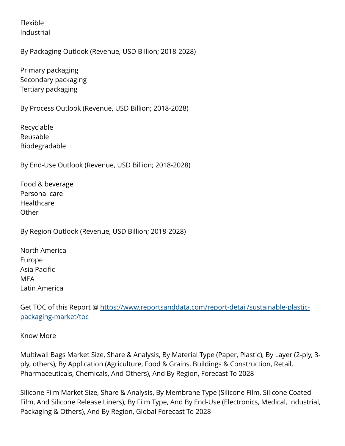Flexible Industrial

By Packaging Outlook (Revenue, USD Billion; 2018-2028)

Primary packaging Secondary packaging Tertiary packaging

By Process Outlook (Revenue, USD Billion; 2018-2028)

Recyclable Reusable Biodegradable

By End-Use Outlook (Revenue, USD Billion; 2018-2028)

Food & beverage Personal care Healthcare **Other** 

By Region Outlook (Revenue, USD Billion; 2018-2028)

North America Europe Asia Pacific MEA Latin America

Get TOC of this Report @ [https://www.reportsanddata.com/report-detail/sustainable-plastic](https://www.reportsanddata.com/report-detail/sustainable-plastic-packaging-market/toc)[packaging-market/toc](https://www.reportsanddata.com/report-detail/sustainable-plastic-packaging-market/toc)

Know More

Multiwall Bags Market Size, Share & Analysis, By Material Type (Paper, Plastic), By Layer (2-ply, 3 ply, others), By Application (Agriculture, Food & Grains, Buildings & Construction, Retail, Pharmaceuticals, Chemicals, And Others), And By Region, Forecast To 2028

Silicone Film Market Size, Share & Analysis, By Membrane Type (Silicone Film, Silicone Coated Film, And Silicone Release Liners), By Film Type, And By End-Use (Electronics, Medical, Industrial, Packaging & Others), And By Region, Global Forecast To 2028